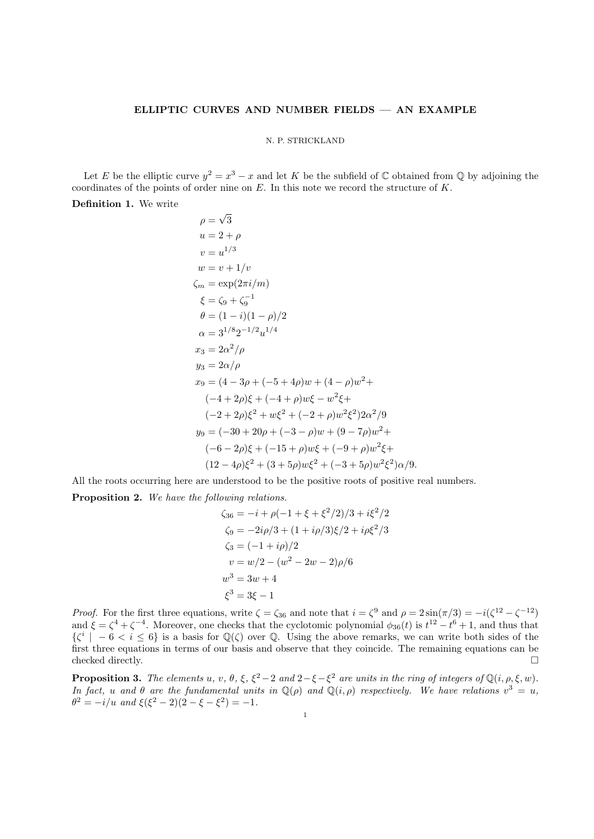## ELLIPTIC CURVES AND NUMBER FIELDS — AN EXAMPLE

### N. P. STRICKLAND

Let E be the elliptic curve  $y^2 = x^3 - x$  and let K be the subfield of C obtained from Q by adjoining the coordinates of the points of order nine on  $E$ . In this note we record the structure of  $K$ .

Definition 1. We write

$$
\rho = \sqrt{3}
$$
  
\n
$$
u = 2 + \rho
$$
  
\n
$$
v = u^{1/3}
$$
  
\n
$$
\omega = v + 1/v
$$
  
\n
$$
\zeta_m = \exp(2\pi i/m)
$$
  
\n
$$
\xi = \zeta_9 + \zeta_9^{-1}
$$
  
\n
$$
\theta = (1 - i)(1 - \rho)/2
$$
  
\n
$$
\alpha = 3^{1/8}2^{-1/2}u^{1/4}
$$
  
\n
$$
x_3 = 2\alpha^2/\rho
$$
  
\n
$$
y_3 = 2\alpha/\rho
$$
  
\n
$$
x_9 = (4 - 3\rho + (-5 + 4\rho)w + (4 - \rho)w^2 + (-4 + 2\rho)\xi + (-4 + \rho)w\xi - w^2\xi + (-2 + 2\rho)\xi^2 + w\xi^2 + (-2 + \rho)w^2\xi^2)2\alpha^2/9
$$
  
\n
$$
y_9 = (-30 + 20\rho + (-3 - \rho)w + (9 - 7\rho)w^2 + (-6 - 2\rho)\xi + (-15 + \rho)w\xi + (-9 + \rho)w^2\xi^2)
$$
  
\n
$$
(12 - 4\rho)\xi^2 + (3 + 5\rho)w\xi^2 + (-3 + 5\rho)w^2\xi^2)\alpha/9.
$$

All the roots occurring here are understood to be the positive roots of positive real numbers. Proposition 2. We have the following relations.

$$
\zeta_{36} = -i + \rho(-1 + \xi + \xi^2/2)/3 + i\xi^2/2
$$
  
\n
$$
\zeta_9 = -2i\rho/3 + (1 + i\rho/3)\xi/2 + i\rho\xi^2/3
$$
  
\n
$$
\zeta_3 = (-1 + i\rho)/2
$$
  
\n
$$
v = w/2 - (w^2 - 2w - 2)\rho/6
$$
  
\n
$$
w^3 = 3w + 4
$$
  
\n
$$
\xi^3 = 3\xi - 1
$$

*Proof.* For the first three equations, write  $\zeta = \zeta_{36}$  and note that  $i = \zeta^9$  and  $\rho = 2\sin(\pi/3) = -i(\zeta^{12} - \zeta^{-12})$ and  $\xi = \zeta^4 + \zeta^{-4}$ . Moreover, one checks that the cyclotomic polynomial  $\phi_{36}(t)$  is  $t^{12} - t^6 + 1$ , and thus that  $\{\zeta^i \mid -6 < i \leq 6\}$  is a basis for  $\mathbb{Q}(\zeta)$  over  $\mathbb{Q}$ . Using the above remarks, we can write both sides of the first three equations in terms of our basis and observe that they coincide. The remaining equations can be checked directly.  $\Box$ 

**Proposition 3.** The elements u, v,  $\theta$ ,  $\xi$ ,  $\xi^2 - 2$  and  $2 - \xi - \xi^2$  are units in the ring of integers of  $\mathbb{Q}(i, \rho, \xi, w)$ . In fact, u and  $\theta$  are the fundamental units in  $\mathbb{Q}(\rho)$  and  $\mathbb{Q}(i,\rho)$  respectively. We have relations  $v^3 = u$ ,  $\theta^2 = -i/u$  and  $\xi(\xi^2 - 2)(2 - \xi - \xi^2) = -1$ .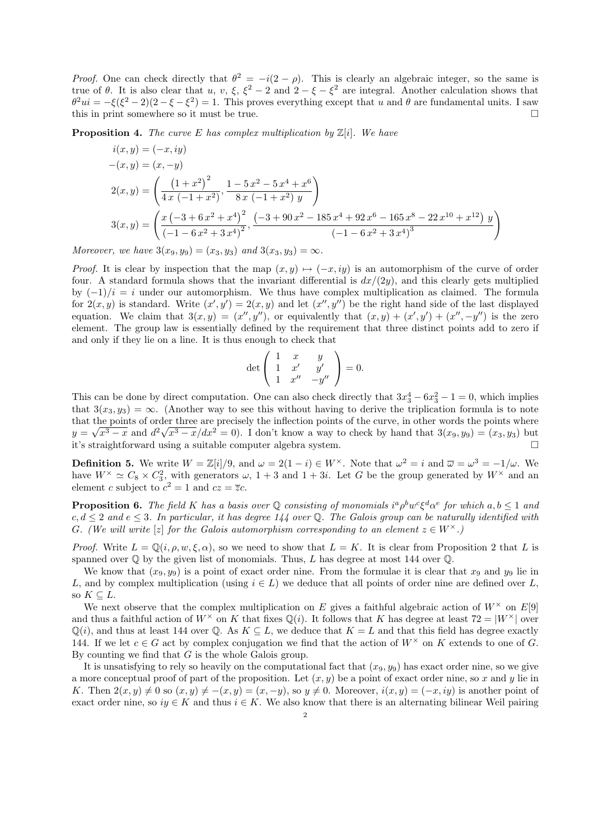*Proof.* One can check directly that  $\theta^2 = -i(2 - \rho)$ . This is clearly an algebraic integer, so the same is true of  $\theta$ . It is also clear that u, v,  $\xi$ ,  $\xi^2 - 2$  and  $2 - \xi - \xi^2$  are integral. Another calculation shows that  $\theta^2 u i = -\xi(\xi^2 - 2)(2 - \xi - \xi^2) = 1$ . This proves everything except that u and  $\theta$  are fundamental units. I saw this in print somewhere so it must be true.

**Proposition 4.** The curve E has complex multiplication by  $\mathbb{Z}[i]$ . We have

$$
i(x,y) = (-x, iy)
$$
  
\n
$$
-(x,y) = (x, -y)
$$
  
\n
$$
2(x,y) = \left(\frac{(1+x^2)^2}{4x(-1+x^2)}, \frac{1-5x^2-5x^4+x^6}{8x(-1+x^2)y}\right)
$$
  
\n
$$
3(x,y) = \left(\frac{x(-3+6x^2+x^4)^2}{(-1-6x^2+3x^4)^2}, \frac{(-3+90x^2-185x^4+92x^6-165x^8-22x^{10}+x^{12})y}{(-1-6x^2+3x^4)^3}\right)
$$

Moreover, we have  $3(x_9, y_9) = (x_3, y_3)$  and  $3(x_3, y_3) = \infty$ .

*Proof.* It is clear by inspection that the map  $(x, y) \mapsto (-x, iy)$  is an automorphism of the curve of order four. A standard formula shows that the invariant differential is  $dx/(2y)$ , and this clearly gets multiplied by  $(-1)/i = i$  under our automorphism. We thus have complex multiplication as claimed. The formula for  $2(x, y)$  is standard. Write  $(x', y') = 2(x, y)$  and let  $(x'', y'')$  be the right hand side of the last displayed equation. We claim that  $3(x, y) = (x'', y'')$ , or equivalently that  $(x, y) + (x', y') + (x'', -y'')$  is the zero element. The group law is essentially defined by the requirement that three distinct points add to zero if and only if they lie on a line. It is thus enough to check that

$$
\det\left(\begin{array}{ccc} 1 & x & y \\ 1 & x' & y' \\ 1 & x'' & -y'' \end{array}\right) = 0.
$$

This can be done by direct computation. One can also check directly that  $3x_3^4 - 6x_3^2 - 1 = 0$ , which implies that  $3(x_3, y_3) = \infty$ . (Another way to see this without having to derive the triplication formula is to note that the points of order three are precisely the inflection points of the curve, in other words the points where  $y = \sqrt{x^3 - x}$  and  $d^2\sqrt{x^3 - x}/dx^2 = 0$ . I don't know a way to check by hand that  $3(x_9, y_9) = (x_3, y_3)$  but it's straightforward using a suitable computer algebra system.

**Definition 5.** We write  $W = \mathbb{Z}[i]/9$ , and  $\omega = 2(1 - i) \in W^{\times}$ . Note that  $\omega^2 = i$  and  $\overline{\omega} = \omega^3 = -1/\omega$ . We have  $W^{\times} \simeq C_8 \times C_3^2$ , with generators  $\omega$ ,  $1+3$  and  $1+3i$ . Let G be the group generated by  $W^{\times}$  and an element c subject to  $c^2 = 1$  and  $cz = \overline{z}c$ .

**Proposition 6.** The field K has a basis over Q consisting of monomials  $i^a \rho^b w^c \xi^d \alpha^e$  for which  $a, b \le 1$  and  $c, d \leq 2$  and  $e \leq 3$ . In particular, it has degree 144 over Q. The Galois group can be naturally identified with G. (We will write [z] for the Galois automorphism corresponding to an element  $z \in W^{\times}$ .)

*Proof.* Write  $L = \mathbb{Q}(i, \rho, w, \xi, \alpha)$ , so we need to show that  $L = K$ . It is clear from Proposition 2 that L is spanned over  $\mathbb Q$  by the given list of monomials. Thus, L has degree at most 144 over  $\mathbb Q$ .

We know that  $(x_9, y_9)$  is a point of exact order nine. From the formulae it is clear that  $x_9$  and  $y_9$  lie in L, and by complex multiplication (using  $i \in L$ ) we deduce that all points of order nine are defined over L, so  $K \subset L$ .

We next observe that the complex multiplication on E gives a faithful algebraic action of  $W^{\times}$  on E[9] and thus a faithful action of  $W^{\times}$  on K that fixes  $\mathbb{Q}(i)$ . It follows that K has degree at least  $72 = |W^{\times}|$  over  $\mathbb{Q}(i)$ , and thus at least 144 over  $\mathbb{Q}$ . As  $K \subseteq L$ , we deduce that  $K = L$  and that this field has degree exactly 144. If we let  $c \in G$  act by complex conjugation we find that the action of  $W^{\times}$  on K extends to one of G. By counting we find that  $G$  is the whole Galois group.

It is unsatisfying to rely so heavily on the computational fact that  $(x_9, y_9)$  has exact order nine, so we give a more conceptual proof of part of the proposition. Let  $(x, y)$  be a point of exact order nine, so x and y lie in K. Then  $2(x, y) \neq 0$  so  $(x, y) \neq -(x, y) = (x, -y)$ , so  $y \neq 0$ . Moreover,  $i(x, y) = (-x, iy)$  is another point of exact order nine, so  $iy \in K$  and thus  $i \in K$ . We also know that there is an alternating bilinear Weil pairing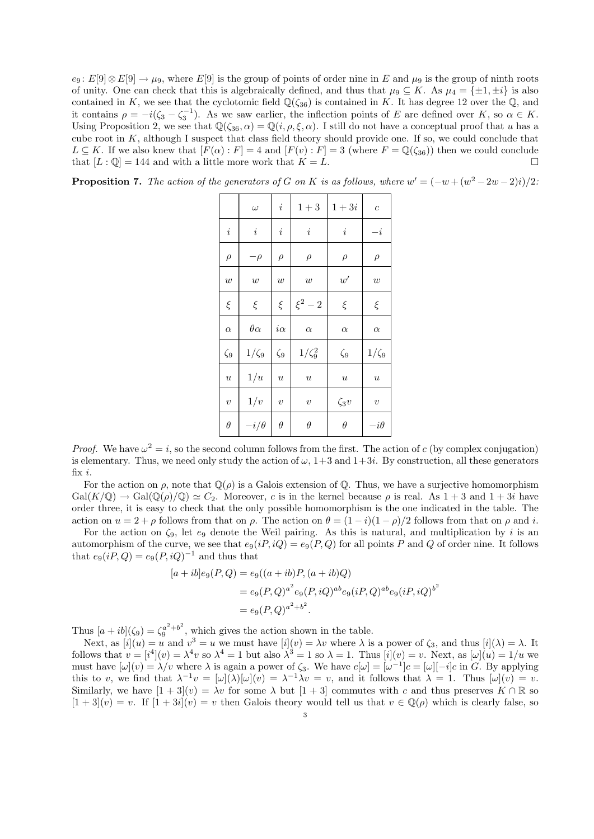$e_9: E[9] \otimes E[9] \to \mu_9$ , where  $E[9]$  is the group of points of order nine in E and  $\mu_9$  is the group of ninth roots of unity. One can check that this is algebraically defined, and thus that  $\mu_9 \subseteq K$ . As  $\mu_4 = {\pm 1, \pm i}$  is also contained in K, we see that the cyclotomic field  $\mathbb{Q}(\zeta_{36})$  is contained in K. It has degree 12 over the  $\mathbb{Q}$ , and it contains  $\rho = -i(\zeta_3 - \zeta_3^{-1})$ . As we saw earlier, the inflection points of E are defined over K, so  $\alpha \in K$ . Using Proposition 2, we see that  $\mathbb{Q}(\zeta_{36}, \alpha) = \mathbb{Q}(i, \rho, \xi, \alpha)$ . I still do not have a conceptual proof that u has a cube root in K, although I suspect that class field theory should provide one. If so, we could conclude that  $L \subseteq K$ . If we also knew that  $[F(\alpha): F] = 4$  and  $[F(v): F] = 3$  (where  $F = \mathbb{Q}(\zeta_{36})$ ) then we could conclude that  $[L: \mathbb{Q}] = 144$  and with a little more work that  $K = L$ .

| <b>Proposition 7.</b> The action of the generators of G on K is as follows, where $w' = (-w + (w^2 - 2w - 2)i)/2$ . |  |  |  |  |  |  |  |
|---------------------------------------------------------------------------------------------------------------------|--|--|--|--|--|--|--|
|---------------------------------------------------------------------------------------------------------------------|--|--|--|--|--|--|--|

|                  | $\omega$       | $\dot{i}$        | $1 + 3$          | $1+3i$           | $\overline{c}$   |
|------------------|----------------|------------------|------------------|------------------|------------------|
| $\it i$          | $\it i$        | $\it i$          | i                | $\dot{i}$        | $-i$             |
| $\rho$           | $-\rho$        | $\rho$           | $\rho$           | $\rho$           | $\rho$           |
| $\boldsymbol{w}$ | w              | w                | w                | w'               | w                |
| $\xi$            | $\xi$          | $\xi$            | $\xi^2-2$        | ξ                | $\xi$            |
| $\alpha$         | $\theta\alpha$ | $i\alpha$        | $\alpha$         | $\alpha$         | $\alpha$         |
| $\zeta_9$        | $1/\zeta_9$    | $\zeta_9$        | $1/\zeta_9^2$    | $\zeta_9$        | $1/\zeta_9$      |
| $\boldsymbol{u}$ | 1/u            | $\boldsymbol{u}$ | $\boldsymbol{u}$ | $\boldsymbol{u}$ | $\boldsymbol{u}$ |
| $\overline{v}$   | 1/v            | $\upsilon$       | $\upsilon$       | $\zeta_3 v$      | $\upsilon$       |
| $\theta$         | $-i/\theta$    | $\theta$         | $\theta$         | $\theta$         | $-i\theta$       |

*Proof.* We have  $\omega^2 = i$ , so the second column follows from the first. The action of c (by complex conjugation) is elementary. Thus, we need only study the action of  $\omega$ ,  $1+3$  and  $1+3i$ . By construction, all these generators fix i.

For the action on  $\rho$ , note that  $\mathbb{Q}(\rho)$  is a Galois extension of  $\mathbb{Q}$ . Thus, we have a surjective homomorphism  $Gal(K/\mathbb{Q}) \to Gal(\mathbb{Q}(\rho)/\mathbb{Q}) \simeq C_2$ . Moreover, c is in the kernel because  $\rho$  is real. As  $1+3$  and  $1+3i$  have order three, it is easy to check that the only possible homomorphism is the one indicated in the table. The action on  $u = 2 + \rho$  follows from that on  $\rho$ . The action on  $\theta = (1 - i)(1 - \rho)/2$  follows from that on  $\rho$  and i.

For the action on  $\zeta_9$ , let  $e_9$  denote the Weil pairing. As this is natural, and multiplication by i is an automorphism of the curve, we see that  $e_9(iP, iQ) = e_9(P, Q)$  for all points P and Q of order nine. It follows that  $e_9(iP,Q) = e_9(P,iQ)^{-1}$  and thus that

$$
[a+ib]e_9(P,Q) = e_9((a+ib)P,(a+ib)Q)
$$
  
=  $e_9(P,Q)^{a^2}e_9(P,iQ)^{ab}e_9(iP,Q)^{ab}e_9(iP,iQ)^{b^2}$   
=  $e_9(P,Q)^{a^2+b^2}$ .

Thus  $[a + ib](\zeta_9) = \zeta_9^{a^2 + b^2}$  $a^{2}$  +b<sup>2</sup>, which gives the action shown in the table.

Next, as  $[i](u) = u$  and  $v^3 = u$  we must have  $[i](v) = \lambda v$  where  $\lambda$  is a power of  $\zeta_3$ , and thus  $[i](\lambda) = \lambda$ . It follows that  $v = [i^4](v) = \lambda^4 v$  so  $\lambda^4 = 1$  but also  $\lambda^3 = 1$  so  $\lambda = 1$ . Thus  $[i](v) = v$ . Next, as  $[\omega](u) = 1/u$  we must have  $[\omega](v) = \lambda/v$  where  $\lambda$  is again a power of  $\zeta_3$ . We have  $c[\omega] = [\omega^{-1}]c = [\omega] [-i]c$  in G. By applying this to v, we find that  $\lambda^{-1}v = [\omega](\lambda)[\omega](v) = \lambda^{-1}\lambda v = v$ , and it follows that  $\lambda = 1$ . Thus  $[\omega](v) = v$ . Similarly, we have  $[1 + 3](v) = \lambda v$  for some  $\lambda$  but  $[1 + 3]$  commutes with c and thus preserves  $K \cap \mathbb{R}$  so  $[1+3](v) = v$ . If  $[1+3i](v) = v$  then Galois theory would tell us that  $v \in \mathbb{Q}(\rho)$  which is clearly false, so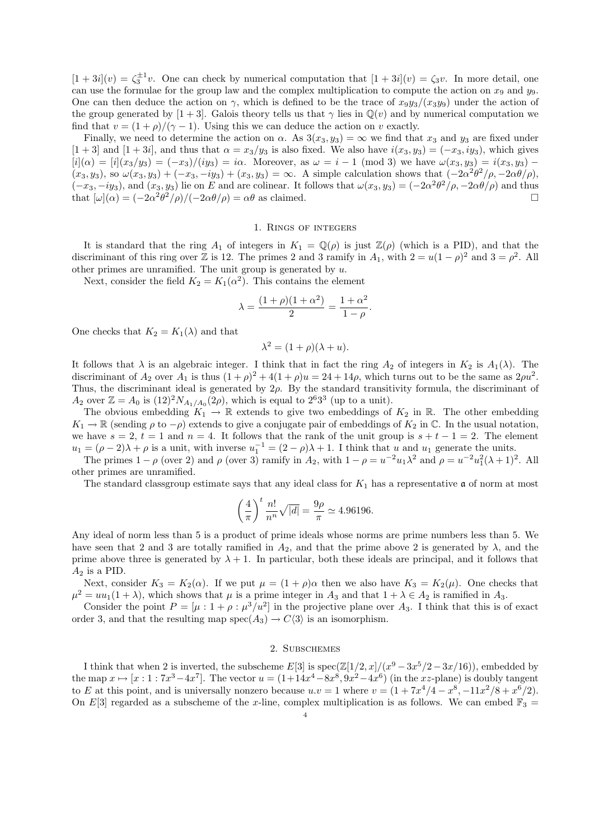$[1+3i](v) = \zeta_3^{\pm 1}v$ . One can check by numerical computation that  $[1+3i](v) = \zeta_3v$ . In more detail, one can use the formulae for the group law and the complex multiplication to compute the action on  $x_9$  and  $y_9$ . One can then deduce the action on  $\gamma$ , which is defined to be the trace of  $x_9y_3/(x_3y_9)$  under the action of the group generated by [1 + 3]. Galois theory tells us that  $\gamma$  lies in  $\mathbb{Q}(v)$  and by numerical computation we find that  $v = (1 + \rho)/(\gamma - 1)$ . Using this we can deduce the action on v exactly.

Finally, we need to determine the action on  $\alpha$ . As  $3(x_3, y_3) = \infty$  we find that  $x_3$  and  $y_3$  are fixed under  $[1+3]$  and  $[1+3i]$ , and thus that  $\alpha = x_3/y_3$  is also fixed. We also have  $i(x_3, y_3) = (-x_3, iy_3)$ , which gives  $[i](\alpha) = [i](x_3/y_3) = (-x_3)/(iy_3) = i\alpha$ . Moreover, as  $\omega = i - 1 \pmod{3}$  we have  $\omega(x_3, y_3) = i(x_3, y_3) - i(x_3, y_3)$  $(x_3, y_3)$ , so  $\omega(x_3, y_3) + (-x_3, -iy_3) + (x_3, y_3) = \infty$ . A simple calculation shows that  $(-2\alpha^2\theta^2/\rho, -2\alpha\theta/\rho)$ ,  $(-x_3, -iy_3)$ , and  $(x_3, y_3)$  lie on E and are colinear. It follows that  $\omega(x_3, y_3) = (-2\alpha^2\theta^2/\rho, -2\alpha\theta/\rho)$  and thus that  $[\omega](\alpha) = (-2\alpha^2\theta^2/\rho)/(-2\alpha\theta/\rho) = \alpha\theta$  as claimed.

#### 1. Rings of integers

It is standard that the ring  $A_1$  of integers in  $K_1 = \mathbb{Q}(\rho)$  is just  $\mathbb{Z}(\rho)$  (which is a PID), and that the discriminant of this ring over Z is 12. The primes 2 and 3 ramify in  $A_1$ , with  $2 = u(1 - \rho)^2$  and  $3 = \rho^2$ . All other primes are unramified. The unit group is generated by  $u$ .

Next, consider the field  $K_2 = K_1(\alpha^2)$ . This contains the element

$$
\lambda = \frac{(1+\rho)(1+\alpha^2)}{2} = \frac{1+\alpha^2}{1-\rho}
$$

.

One checks that  $K_2 = K_1(\lambda)$  and that

$$
\lambda^2 = (1+\rho)(\lambda + u).
$$

It follows that  $\lambda$  is an algebraic integer. I think that in fact the ring  $A_2$  of integers in  $K_2$  is  $A_1(\lambda)$ . The discriminant of  $A_2$  over  $A_1$  is thus  $(1+\rho)^2 + 4(1+\rho)u = 24 + 14\rho$ , which turns out to be the same as  $2\rho u^2$ . Thus, the discriminant ideal is generated by  $2\rho$ . By the standard transitivity formula, the discriminant of  $A_2$  over  $\mathbb{Z} = A_0$  is  $(12)^2 N_{A_1/A_0}(2\rho)$ , which is equal to  $2^6 3^3$  (up to a unit).

The obvious embedding  $K_1 \to \mathbb{R}$  extends to give two embeddings of  $K_2$  in  $\mathbb{R}$ . The other embedding  $K_1 \to \mathbb{R}$  (sending  $\rho$  to  $-\rho$ ) extends to give a conjugate pair of embeddings of  $K_2$  in  $\mathbb{C}$ . In the usual notation, we have  $s = 2$ ,  $t = 1$  and  $n = 4$ . It follows that the rank of the unit group is  $s + t - 1 = 2$ . The element  $u_1 = (\rho - 2)\lambda + \rho$  is a unit, with inverse  $u_1^{-1} = (2 - \rho)\lambda + 1$ . I think that u and u<sub>1</sub> generate the units.

The primes  $1 - \rho$  (over 2) and  $\rho$  (over 3) ramify in  $A_2$ , with  $1 - \rho = u^{-2}u_1\lambda^2$  and  $\rho = u^{-2}u_1^2(\lambda + 1)^2$ . All other primes are unramified.

The standard classgroup estimate says that any ideal class for  $K_1$  has a representative  $\mathfrak a$  of norm at most

$$
\left(\frac{4}{\pi}\right)^t \frac{n!}{n^n} \sqrt{|d|} = \frac{9\rho}{\pi} \simeq 4.96196.
$$

Any ideal of norm less than 5 is a product of prime ideals whose norms are prime numbers less than 5. We have seen that 2 and 3 are totally ramified in  $A_2$ , and that the prime above 2 is generated by  $\lambda$ , and the prime above three is generated by  $\lambda + 1$ . In particular, both these ideals are principal, and it follows that  $A_2$  is a PID.

Next, consider  $K_3 = K_2(\alpha)$ . If we put  $\mu = (1 + \rho)\alpha$  then we also have  $K_3 = K_2(\mu)$ . One checks that  $\mu^2 = uu_1(1+\lambda)$ , which shows that  $\mu$  is a prime integer in  $A_3$  and that  $1+\lambda \in A_2$  is ramified in  $A_3$ .

Consider the point  $P = [\mu : 1 + \rho : \mu^3/u^2]$  in the projective plane over  $A_3$ . I think that this is of exact order 3, and that the resulting map spec( $A_3$ )  $\rightarrow$  C $\langle 3 \rangle$  is an isomorphism.

# 2. Subschemes

I think that when 2 is inverted, the subscheme  $E[3]$  is  $spec(\mathbb{Z}[1/2,x]/(x^9-3x^5/2-3x/16))$ , embedded by the map  $x \mapsto [x : 1 : 7x^3 - 4x^7]$ . The vector  $u = (1 + 14x^4 - 8x^8, 9x^2 - 4x^6)$  (in the xz-plane) is doubly tangent to E at this point, and is universally nonzero because  $u \cdot v = 1$  where  $v = (1 + 7x^4/4 - x^8, -11x^2/8 + x^6/2)$ . On E[3] regarded as a subscheme of the x-line, complex multiplication is as follows. We can embed  $\mathbb{F}_3$  =